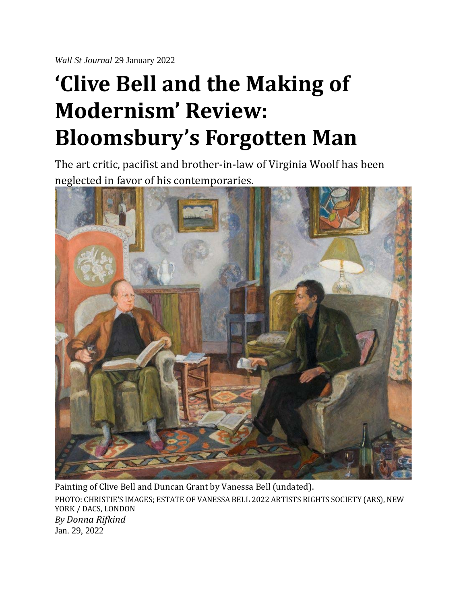*Wall St Journal* 29 January 2022

## **'Clive Bell and the Making of Modernism' Review: Bloomsbury's Forgotten Man**

The art critic, pacifist and brother-in-law of Virginia Woolf has been neglected in favor of his contemporaries.



Painting of Clive Bell and Duncan Grant by Vanessa Bell (undated). PHOTO: CHRISTIE'S IMAGES; ESTATE OF VANESSA BELL 2022 ARTISTS RIGHTS SOCIETY (ARS), NEW YORK / DACS, LONDON *By Donna Rifkind* Jan. 29, 2022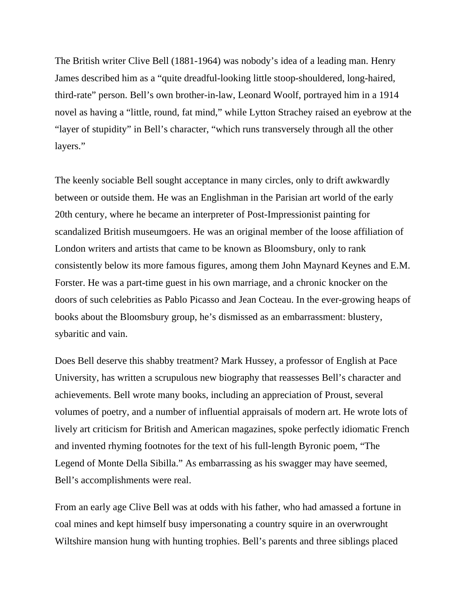The British writer Clive Bell (1881-1964) was nobody's idea of a leading man. Henry James described him as a "quite dreadful-looking little stoop-shouldered, long-haired, third-rate" person. Bell's own brother-in-law, Leonard Woolf, portrayed him in a 1914 novel as having a "little, round, fat mind," while Lytton Strachey raised an eyebrow at the "layer of stupidity" in Bell's character, "which runs transversely through all the other layers."

The keenly sociable Bell sought acceptance in many circles, only to drift awkwardly between or outside them. He was an Englishman in the Parisian art world of the early 20th century, where he became an interpreter of Post-Impressionist painting for scandalized British museumgoers. He was an original member of the loose affiliation of London writers and artists that came to be known as Bloomsbury, only to rank consistently below its more famous figures, among them John Maynard Keynes and E.M. Forster. He was a part-time guest in his own marriage, and a chronic knocker on the doors of such celebrities as Pablo Picasso and Jean Cocteau. In the ever-growing heaps of books about the Bloomsbury group, he's dismissed as an embarrassment: blustery, sybaritic and vain.

Does Bell deserve this shabby treatment? Mark Hussey, a professor of English at Pace University, has written a scrupulous new biography that reassesses Bell's character and achievements. Bell wrote many books, including an appreciation of Proust, several volumes of poetry, and a number of influential appraisals of modern art. He wrote lots of lively art criticism for British and American magazines, spoke perfectly idiomatic French and invented rhyming footnotes for the text of his full-length Byronic poem, "The Legend of Monte Della Sibilla." As embarrassing as his swagger may have seemed, Bell's accomplishments were real.

From an early age Clive Bell was at odds with his father, who had amassed a fortune in coal mines and kept himself busy impersonating a country squire in an overwrought Wiltshire mansion hung with hunting trophies. Bell's parents and three siblings placed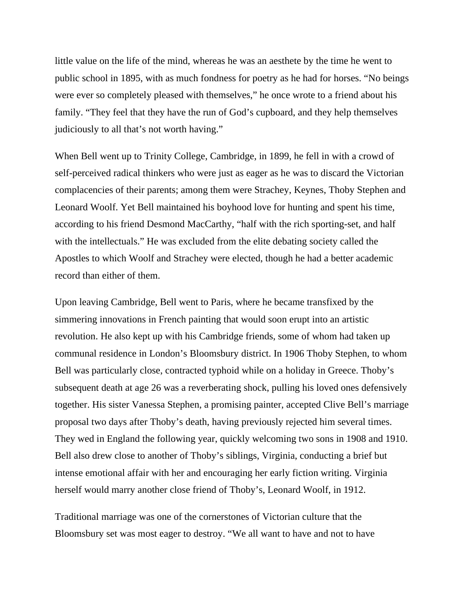little value on the life of the mind, whereas he was an aesthete by the time he went to public school in 1895, with as much fondness for poetry as he had for horses. "No beings were ever so completely pleased with themselves," he once wrote to a friend about his family. "They feel that they have the run of God's cupboard, and they help themselves judiciously to all that's not worth having."

When Bell went up to Trinity College, Cambridge, in 1899, he fell in with a crowd of self-perceived radical thinkers who were just as eager as he was to discard the Victorian complacencies of their parents; among them were Strachey, Keynes, Thoby Stephen and Leonard Woolf. Yet Bell maintained his boyhood love for hunting and spent his time, according to his friend Desmond MacCarthy, "half with the rich sporting-set, and half with the intellectuals." He was excluded from the elite debating society called the Apostles to which Woolf and Strachey were elected, though he had a better academic record than either of them.

Upon leaving Cambridge, Bell went to Paris, where he became transfixed by the simmering innovations in French painting that would soon erupt into an artistic revolution. He also kept up with his Cambridge friends, some of whom had taken up communal residence in London's Bloomsbury district. In 1906 Thoby Stephen, to whom Bell was particularly close, contracted typhoid while on a holiday in Greece. Thoby's subsequent death at age 26 was a reverberating shock, pulling his loved ones defensively together. His sister Vanessa Stephen, a promising painter, accepted Clive Bell's marriage proposal two days after Thoby's death, having previously rejected him several times. They wed in England the following year, quickly welcoming two sons in 1908 and 1910. Bell also drew close to another of Thoby's siblings, Virginia, conducting a brief but intense emotional affair with her and encouraging her early fiction writing. Virginia herself would marry another close friend of Thoby's, Leonard Woolf, in 1912.

Traditional marriage was one of the cornerstones of Victorian culture that the Bloomsbury set was most eager to destroy. "We all want to have and not to have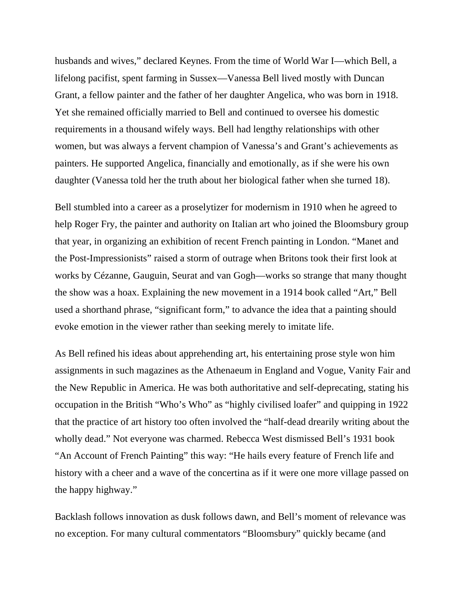husbands and wives," declared Keynes. From the time of World War I—which Bell, a lifelong pacifist, spent farming in Sussex—Vanessa Bell lived mostly with Duncan Grant, a fellow painter and the father of her daughter Angelica, who was born in 1918. Yet she remained officially married to Bell and continued to oversee his domestic requirements in a thousand wifely ways. Bell had lengthy relationships with other women, but was always a fervent champion of Vanessa's and Grant's achievements as painters. He supported Angelica, financially and emotionally, as if she were his own daughter (Vanessa told her the truth about her biological father when she turned 18).

Bell stumbled into a career as a proselytizer for modernism in 1910 when he agreed to help Roger Fry, the painter and authority on Italian art who joined the Bloomsbury group that year, in organizing an exhibition of recent French painting in London. "Manet and the Post-Impressionists" raised a storm of outrage when Britons took their first look at works by Cézanne, Gauguin, Seurat and van Gogh—works so strange that many thought the show was a hoax. Explaining the new movement in a 1914 book called "Art," Bell used a shorthand phrase, "significant form," to advance the idea that a painting should evoke emotion in the viewer rather than seeking merely to imitate life.

As Bell refined his ideas about apprehending art, his entertaining prose style won him assignments in such magazines as the Athenaeum in England and Vogue, Vanity Fair and the New Republic in America. He was both authoritative and self-deprecating, stating his occupation in the British "Who's Who" as "highly civilised loafer" and quipping in 1922 that the practice of art history too often involved the "half-dead drearily writing about the wholly dead." Not everyone was charmed. Rebecca West dismissed Bell's 1931 book "An Account of French Painting" this way: "He hails every feature of French life and history with a cheer and a wave of the concertina as if it were one more village passed on the happy highway."

Backlash follows innovation as dusk follows dawn, and Bell's moment of relevance was no exception. For many cultural commentators "Bloomsbury" quickly became (and